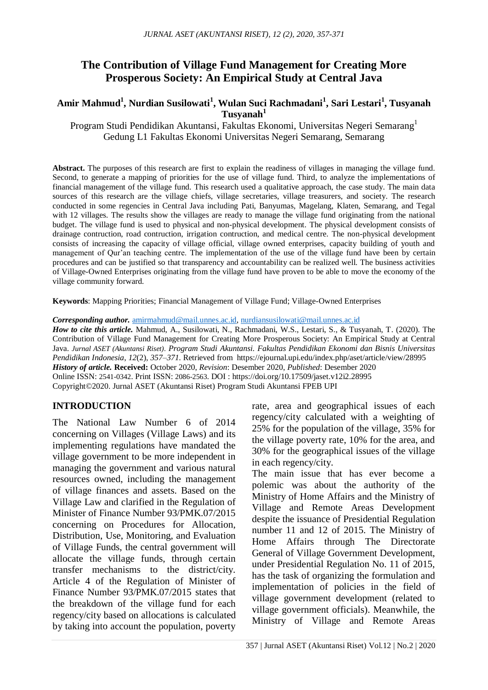# **The Contribution of Village Fund Management for Creating More Prosperous Society: An Empirical Study at Central Java**

#### **Amir Mahmud<sup>1</sup> , Nurdian Susilowati<sup>1</sup> , Wulan Suci Rachmadani<sup>1</sup> , Sari Lestari<sup>1</sup> , Tusyanah Tusyanah<sup>1</sup>**

Program Studi Pendidikan Akuntansi, Fakultas Ekonomi, Universitas Negeri Semarang<sup>1</sup> Gedung L1 Fakultas Ekonomi Universitas Negeri Semarang, Semarang

Abstract. The purposes of this research are first to explain the readiness of villages in managing the village fund. Second, to generate a mapping of priorities for the use of village fund. Third, to analyze the implementations of financial management of the village fund. This research used a qualitative approach, the case study. The main data sources of this research are the village chiefs, village secretaries, village treasurers, and society. The research conducted in some regencies in Central Java including Pati, Banyumas, Magelang, Klaten, Semarang, and Tegal with 12 villages. The results show the villages are ready to manage the village fund originating from the national budget. The village fund is used to physical and non-physical development. The physical development consists of drainage contruction, road contruction, irrigation contruction, and medical centre. The non-physical development consists of increasing the capacity of village official, village owned enterprises, capacity building of youth and management of Qur'an teaching centre. The implementation of the use of the village fund have been by certain procedures and can be justified so that transparency and accountability can be realized well. The business activities of Village-Owned Enterprises originating from the village fund have proven to be able to move the economy of the village community forward*.*

**Keywords**: Mapping Priorities; Financial Management of Village Fund; Village-Owned Enterprises

*Corresponding author.* [amirmahmud@mail.unnes.ac.id,](mailto:amirmahmud@mail.unnes.ac.id) [nurdiansusilowati@mail.unnes.ac.id](mailto:nurdiansusilowati@mail.unnes.ac.id)

*How to cite this article.* Mahmud, A., Susilowati, N., Rachmadani, W.S., Lestari, S., & Tusyanah, T. (2020). The Contribution of Village Fund Management for Creating More Prosperous Society: An Empirical Study at Central Java. *Jurnal ASET (Akuntansi Riset). Program Studi Akuntansi. Fakultas Pendidikan Ekonomi dan Bisnis Universitas Pendidikan Indonesia*, *12*(2), *357–371*. Retrieved from https://ejournal.upi.edu/index.php/aset/article/view/28995 *History of article.* **Received:** October 2020, *Revision*: Desember 2020, *Published*: Desember 2020 Online ISSN: 2541-0342. Print ISSN: 2086-2563. DOI : https://doi.org/10.17509/jaset.v12i2.28995

Copyright©2020. Jurnal ASET (Akuntansi Riset) Program Studi Akuntansi FPEB UPI

#### **INTRODUCTION**

The National Law Number 6 of 2014 concerning on Villages (Village Laws) and its implementing regulations have mandated the village government to be more independent in managing the government and various natural resources owned, including the management of village finances and assets. Based on the Village Law and clarified in the Regulation of Minister of Finance Number 93/PMK.07/2015 concerning on Procedures for Allocation, Distribution, Use, Monitoring, and Evaluation of Village Funds, the central government will allocate the village funds, through certain transfer mechanisms to the district/city. Article 4 of the Regulation of Minister of Finance Number 93/PMK.07/2015 states that the breakdown of the village fund for each regency/city based on allocations is calculated by taking into account the population, poverty rate, area and geographical issues of each regency/city calculated with a weighting of 25% for the population of the village, 35% for the village poverty rate, 10% for the area, and 30% for the geographical issues of the village in each regency/city.

The main issue that has ever become a polemic was about the authority of the Ministry of Home Affairs and the Ministry of Village and Remote Areas Development despite the issuance of Presidential Regulation number 11 and 12 of 2015. The Ministry of Home Affairs through The Directorate General of Village Government Development, under Presidential Regulation No. 11 of 2015, has the task of organizing the formulation and implementation of policies in the field of village government development (related to village government officials). Meanwhile, the Ministry of Village and Remote Areas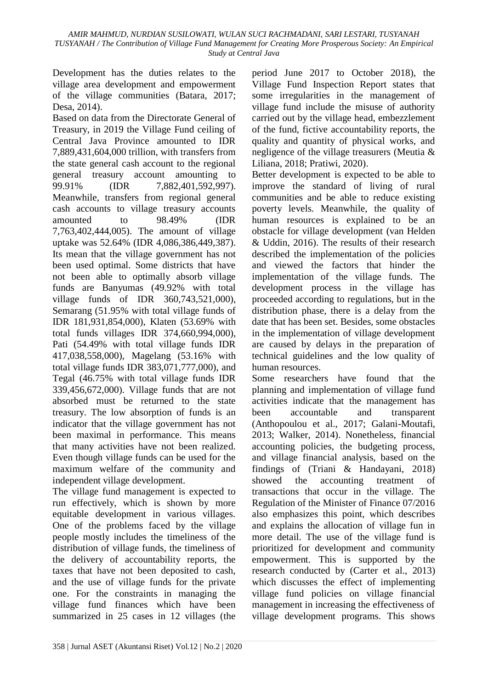Development has the duties relates to the village area development and empowerment of the village communities (Batara, 2017; Desa, 2014).

Based on data from the Directorate General of Treasury, in 2019 the Village Fund ceiling of Central Java Province amounted to IDR 7,889,431,604,000 trillion, with transfers from the state general cash account to the regional general treasury account amounting to 99.91% (IDR 7,882,401,592,997). Meanwhile, transfers from regional general cash accounts to village treasury accounts amounted to 98.49% (IDR 7,763,402,444,005). The amount of village uptake was 52.64% (IDR 4,086,386,449,387). Its mean that the village government has not been used optimal. Some districts that have not been able to optimally absorb village funds are Banyumas (49.92% with total village funds of IDR 360,743,521,000), Semarang (51.95% with total village funds of IDR 181,931,854,000), Klaten (53.69% with total funds villages IDR 374,660,994,000), Pati (54.49% with total village funds IDR 417,038,558,000), Magelang (53.16% with total village funds IDR 383,071,777,000), and Tegal (46.75% with total village funds IDR 339,456,672,000). Village funds that are not absorbed must be returned to the state treasury. The low absorption of funds is an indicator that the village government has not been maximal in performance. This means that many activities have not been realized. Even though village funds can be used for the maximum welfare of the community and independent village development.

The village fund management is expected to run effectively, which is shown by more equitable development in various villages. One of the problems faced by the village people mostly includes the timeliness of the distribution of village funds, the timeliness of the delivery of accountability reports, the taxes that have not been deposited to cash, and the use of village funds for the private one. For the constraints in managing the village fund finances which have been summarized in 25 cases in 12 villages (the

period June 2017 to October 2018), the Village Fund Inspection Report states that some irregularities in the management of village fund include the misuse of authority carried out by the village head, embezzlement of the fund, fictive accountability reports, the quality and quantity of physical works, and negligence of the village treasurers (Meutia & Liliana, 2018; Pratiwi, 2020).

Better development is expected to be able to improve the standard of living of rural communities and be able to reduce existing poverty levels. Meanwhile, the quality of human resources is explained to be an obstacle for village development (van Helden & Uddin, 2016). The results of their research described the implementation of the policies and viewed the factors that hinder the implementation of the village funds. The development process in the village has proceeded according to regulations, but in the distribution phase, there is a delay from the date that has been set. Besides, some obstacles in the implementation of village development are caused by delays in the preparation of technical guidelines and the low quality of human resources.

Some researchers have found that the planning and implementation of village fund activities indicate that the management has been accountable and transparent (Anthopoulou et al., 2017; Galani-Moutafi, 2013; Walker, 2014). Nonetheless, financial accounting policies, the budgeting process, and village financial analysis, based on the findings of (Triani & Handayani, 2018) showed the accounting treatment of transactions that occur in the village. The Regulation of the Minister of Finance 07/2016 also emphasizes this point, which describes and explains the allocation of village fun in more detail. The use of the village fund is prioritized for development and community empowerment. This is supported by the research conducted by (Carter et al., 2013) which discusses the effect of implementing village fund policies on village financial management in increasing the effectiveness of village development programs. This shows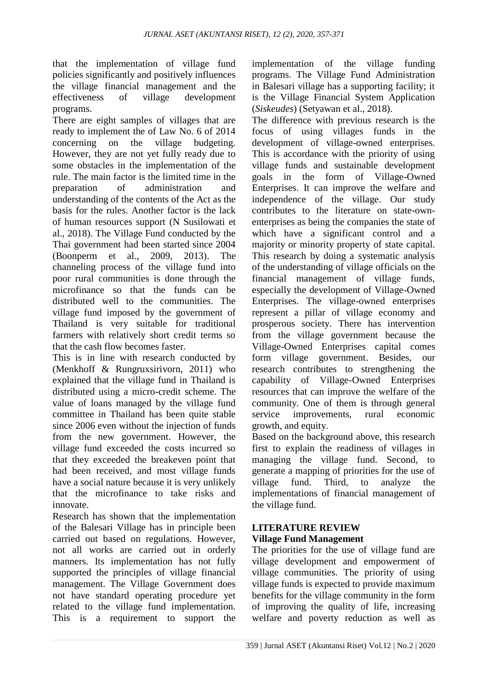that the implementation of village fund policies significantly and positively influences the village financial management and the effectiveness of village development programs.

There are eight samples of villages that are ready to implement the of Law No. 6 of 2014 concerning on the village budgeting. However, they are not yet fully ready due to some obstacles in the implementation of the rule. The main factor is the limited time in the preparation of administration and understanding of the contents of the Act as the basis for the rules. Another factor is the lack of human resources support (N Susilowati et al., 2018). The Village Fund conducted by the Thai government had been started since 2004 (Boonperm et al., 2009, 2013). The channeling process of the village fund into poor rural communities is done through the microfinance so that the funds can be distributed well to the communities. The village fund imposed by the government of Thailand is very suitable for traditional farmers with relatively short credit terms so that the cash flow becomes faster.

This is in line with research conducted by (Menkhoff & Rungruxsirivorn, 2011) who explained that the village fund in Thailand is distributed using a micro-credit scheme. The value of loans managed by the village fund committee in Thailand has been quite stable since 2006 even without the injection of funds from the new government. However, the village fund exceeded the costs incurred so that they exceeded the breakeven point that had been received, and most village funds have a social nature because it is very unlikely that the microfinance to take risks and innovate.

Research has shown that the implementation of the Balesari Village has in principle been carried out based on regulations. However, not all works are carried out in orderly manners. Its implementation has not fully supported the principles of village financial management. The Village Government does not have standard operating procedure yet related to the village fund implementation. This is a requirement to support the implementation of the village funding programs. The Village Fund Administration in Balesari village has a supporting facility; it is the Village Financial System Application (*Siskeudes*) (Setyawan et al., 2018).

The difference with previous research is the focus of using villages funds in the development of village-owned enterprises. This is accordance with the priority of using village funds and sustainable development goals in the form of Village-Owned Enterprises. It can improve the welfare and independence of the village. Our study contributes to the literature on state-ownenterprises as being the companies the state of which have a significant control and a majority or minority property of state capital. This research by doing a systematic analysis of the understanding of village officials on the financial management of village funds, especially the development of Village-Owned Enterprises. The village-owned enterprises represent a pillar of village economy and prosperous society. There has intervention from the village government because the Village-Owned Enterprises capital comes form village government. Besides, our research contributes to strengthening the capability of Village-Owned Enterprises resources that can improve the welfare of the community. One of them is through general service improvements, rural economic growth, and equity.

Based on the background above, this research first to explain the readiness of villages in managing the village fund. Second, to generate a mapping of priorities for the use of village fund. Third, to analyze the implementations of financial management of the village fund.

# **LITERATURE REVIEW**

# **Village Fund Management**

The priorities for the use of village fund are village development and empowerment of village communities. The priority of using village funds is expected to provide maximum benefits for the village community in the form of improving the quality of life, increasing welfare and poverty reduction as well as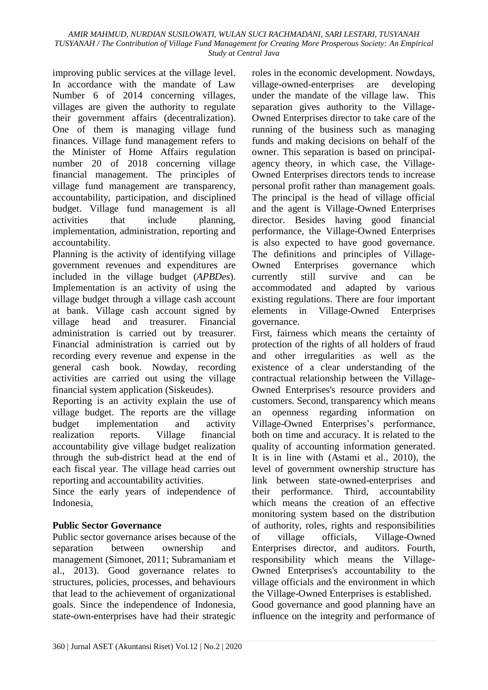improving public services at the village level. In accordance with the mandate of Law Number 6 of 2014 concerning villages, villages are given the authority to regulate their government affairs (decentralization). One of them is managing village fund finances. Village fund management refers to the Minister of Home Affairs regulation number 20 of 2018 concerning village financial management. The principles of village fund management are transparency, accountability, participation, and disciplined budget. Village fund management is all activities that include planning, implementation, administration, reporting and accountability.

Planning is the activity of identifying village government revenues and expenditures are included in the village budget (*APBDes*). Implementation is an activity of using the village budget through a village cash account at bank. Village cash account signed by village head and treasurer. Financial administration is carried out by treasurer. Financial administration is carried out by recording every revenue and expense in the general cash book. Nowday, recording activities are carried out using the village financial system application (Siskeudes).

Reporting is an activity explain the use of village budget. The reports are the village budget implementation and activity realization reports. Village financial accountability give village budget realization through the sub-district head at the end of each fiscal year. The village head carries out reporting and accountability activities.

Since the early years of independence of Indonesia,

# **Public Sector Governance**

Public sector governance arises because of the separation between ownership and management (Simonet, 2011; Subramaniam et al., 2013). Good governance relates to structures, policies, processes, and behaviours that lead to the achievement of organizational goals. Since the independence of Indonesia, state-own-enterprises have had their strategic roles in the economic development. Nowdays, village-owned-enterprises are developing under the mandate of the village law. This separation gives authority to the Village-Owned Enterprises director to take care of the running of the business such as managing funds and making decisions on behalf of the owner. This separation is based on principalagency theory, in which case, the Village-Owned Enterprises directors tends to increase personal profit rather than management goals. The principal is the head of village official and the agent is Village-Owned Enterprises director. Besides having good financial performance, the Village-Owned Enterprises is also expected to have good governance. The definitions and principles of Village-Owned Enterprises governance which currently still survive and can be accommodated and adapted by various existing regulations. There are four important elements in Village-Owned Enterprises governance.

First, fairness which means the certainty of protection of the rights of all holders of fraud and other irregularities as well as the existence of a clear understanding of the contractual relationship between the Village-Owned Enterprises's resource providers and customers. Second, transparency which means an openness regarding information on Village-Owned Enterprises's performance, both on time and accuracy. It is related to the quality of accounting information generated. It is in line with (Astami et al., 2010), the level of government ownership structure has link between state-owned-enterprises and their performance. Third, accountability which means the creation of an effective monitoring system based on the distribution of authority, roles, rights and responsibilities of village officials, Village-Owned Enterprises director, and auditors. Fourth, responsibility which means the Village-Owned Enterprises's accountability to the village officials and the environment in which the Village-Owned Enterprises is established. Good governance and good planning have an influence on the integrity and performance of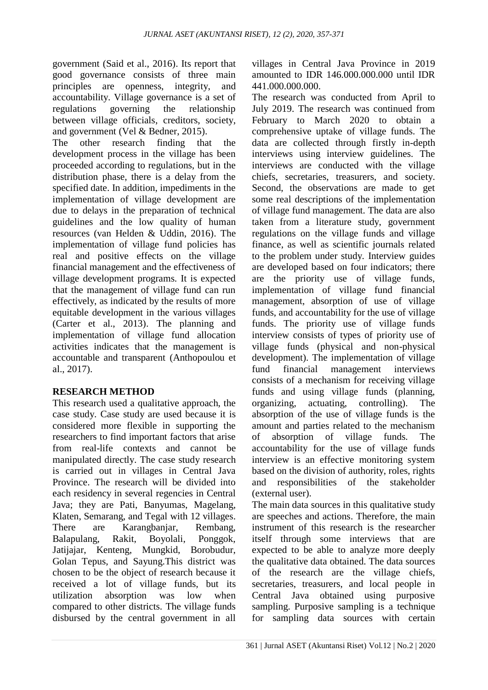government (Said et al., 2016). Its report that good governance consists of three main principles are openness, integrity, and accountability. Village governance is a set of regulations governing the relationship between village officials, creditors, society, and government (Vel & Bedner, 2015).

The other research finding that the development process in the village has been proceeded according to regulations, but in the distribution phase, there is a delay from the specified date. In addition, impediments in the implementation of village development are due to delays in the preparation of technical guidelines and the low quality of human resources (van Helden & Uddin, 2016). The implementation of village fund policies has real and positive effects on the village financial management and the effectiveness of village development programs. It is expected that the management of village fund can run effectively, as indicated by the results of more equitable development in the various villages (Carter et al., 2013). The planning and implementation of village fund allocation activities indicates that the management is accountable and transparent (Anthopoulou et al., 2017).

# **RESEARCH METHOD**

This research used a qualitative approach, the case study. Case study are used because it is considered more flexible in supporting the researchers to find important factors that arise from real-life contexts and cannot be manipulated directly. The case study research is carried out in villages in Central Java Province. The research will be divided into each residency in several regencies in Central Java; they are Pati, Banyumas, Magelang, Klaten, Semarang, and Tegal with 12 villages. There are Karangbanjar, Rembang, Balapulang, Rakit, Boyolali, Ponggok, Jatijajar, Kenteng, Mungkid, Borobudur, Golan Tepus, and Sayung.This district was chosen to be the object of research because it received a lot of village funds, but its utilization absorption was low when compared to other districts. The village funds disbursed by the central government in all villages in Central Java Province in 2019 amounted to IDR 146.000.000.000 until IDR 441.000.000.000.

The research was conducted from April to July 2019. The research was continued from February to March 2020 to obtain a comprehensive uptake of village funds. The data are collected through firstly in-depth interviews using interview guidelines. The interviews are conducted with the village chiefs, secretaries, treasurers, and society. Second, the observations are made to get some real descriptions of the implementation of village fund management. The data are also taken from a literature study, government regulations on the village funds and village finance, as well as scientific journals related to the problem under study. Interview guides are developed based on four indicators; there are the priority use of village funds, implementation of village fund financial management, absorption of use of village funds, and accountability for the use of village funds. The priority use of village funds interview consists of types of priority use of village funds (physical and non-physical development). The implementation of village fund financial management interviews consists of a mechanism for receiving village funds and using village funds (planning, organizing, actuating, controlling). The absorption of the use of village funds is the amount and parties related to the mechanism of absorption of village funds. The accountability for the use of village funds interview is an effective monitoring system based on the division of authority, roles, rights and responsibilities of the stakeholder (external user).

The main data sources in this qualitative study are speeches and actions. Therefore, the main instrument of this research is the researcher itself through some interviews that are expected to be able to analyze more deeply the qualitative data obtained. The data sources of the research are the village chiefs, secretaries, treasurers, and local people in Central Java obtained using purposive sampling. Purposive sampling is a technique for sampling data sources with certain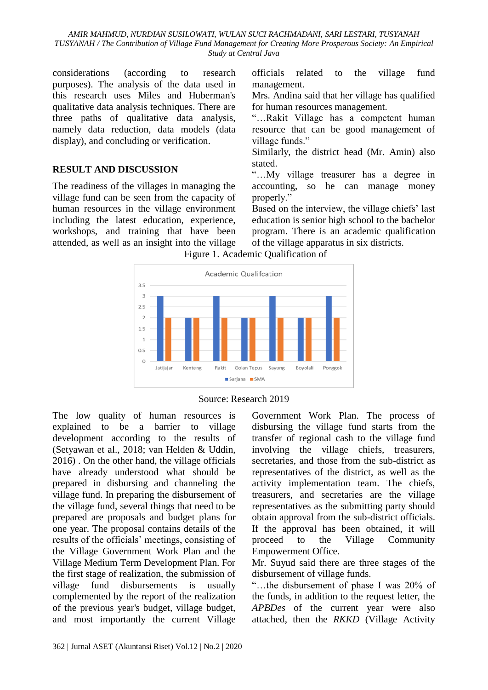*AMIR MAHMUD, NURDIAN SUSILOWATI, WULAN SUCI RACHMADANI, SARI LESTARI, TUSYANAH TUSYANAH / The Contribution of Village Fund Management for Creating More Prosperous Society: An Empirical Study at Central Java*

considerations (according to research purposes). The analysis of the data used in this research uses Miles and Huberman's qualitative data analysis techniques. There are three paths of qualitative data analysis, namely data reduction, data models (data display), and concluding or verification.

#### **RESULT AND DISCUSSION**

The readiness of the villages in managing the village fund can be seen from the capacity of human resources in the village environment including the latest education, experience, workshops, and training that have been attended, as well as an insight into the village

officials related to the village fund management.

Mrs. Andina said that her village has qualified for human resources management.

"…Rakit Village has a competent human resource that can be good management of village funds."

Similarly, the district head (Mr. Amin) also stated.

"…My village treasurer has a degree in accounting, so he can manage money properly."

Based on the interview, the village chiefs' last education is senior high school to the bachelor program. There is an academic qualification of the village apparatus in six districts.

Figure 1. Academic Qualification of





The low quality of human resources is explained to be a barrier to village development according to the results of (Setyawan et al., 2018; van Helden & Uddin, 2016) . On the other hand, the village officials have already understood what should be prepared in disbursing and channeling the village fund. In preparing the disbursement of the village fund, several things that need to be prepared are proposals and budget plans for one year. The proposal contains details of the results of the officials' meetings, consisting of the Village Government Work Plan and the Village Medium Term Development Plan. For the first stage of realization, the submission of village fund disbursements is usually complemented by the report of the realization of the previous year's budget, village budget, and most importantly the current Village

Government Work Plan. The process of disbursing the village fund starts from the transfer of regional cash to the village fund involving the village chiefs, treasurers, secretaries, and those from the sub-district as representatives of the district, as well as the activity implementation team. The chiefs, treasurers, and secretaries are the village representatives as the submitting party should obtain approval from the sub-district officials. If the approval has been obtained, it will proceed to the Village Community Empowerment Office.

Mr. Suyud said there are three stages of the disbursement of village funds.

"…the disbursement of phase I was 20% of the funds, in addition to the request letter, the *APBDes* of the current year were also attached, then the *RKKD* (Village Activity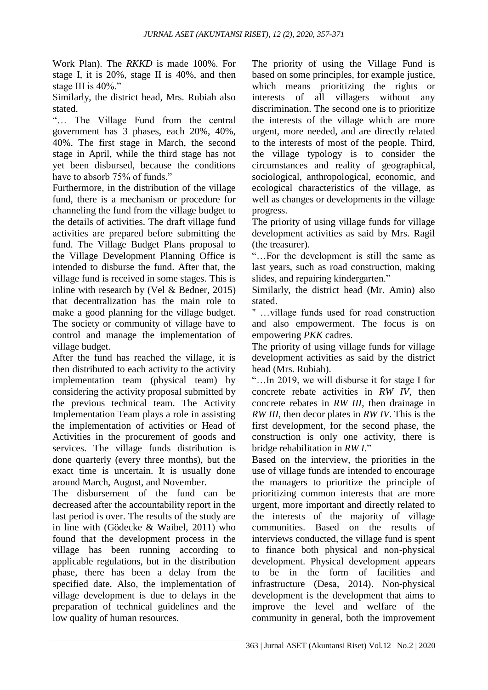Work Plan). The *RKKD* is made 100%. For stage I, it is 20%, stage II is 40%, and then stage III is 40%."

Similarly, the district head, Mrs. Rubiah also stated.

"… The Village Fund from the central government has 3 phases, each 20%, 40%, 40%. The first stage in March, the second stage in April, while the third stage has not yet been disbursed, because the conditions have to absorb 75% of funds."

Furthermore, in the distribution of the village fund, there is a mechanism or procedure for channeling the fund from the village budget to the details of activities. The draft village fund activities are prepared before submitting the fund. The Village Budget Plans proposal to the Village Development Planning Office is intended to disburse the fund. After that, the village fund is received in some stages. This is inline with research by (Vel & Bedner, 2015) that decentralization has the main role to make a good planning for the village budget. The society or community of village have to control and manage the implementation of village budget.

After the fund has reached the village, it is then distributed to each activity to the activity implementation team (physical team) by considering the activity proposal submitted by the previous technical team. The Activity Implementation Team plays a role in assisting the implementation of activities or Head of Activities in the procurement of goods and services. The village funds distribution is done quarterly (every three months), but the exact time is uncertain. It is usually done around March, August, and November.

The disbursement of the fund can be decreased after the accountability report in the last period is over. The results of the study are in line with (Gödecke & Waibel, 2011) who found that the development process in the village has been running according to applicable regulations, but in the distribution phase, there has been a delay from the specified date. Also, the implementation of village development is due to delays in the preparation of technical guidelines and the low quality of human resources.

The priority of using the Village Fund is based on some principles, for example justice, which means prioritizing the rights or interests of all villagers without any discrimination. The second one is to prioritize the interests of the village which are more urgent, more needed, and are directly related to the interests of most of the people. Third, the village typology is to consider the circumstances and reality of geographical, sociological, anthropological, economic, and ecological characteristics of the village, as well as changes or developments in the village progress.

The priority of using village funds for village development activities as said by Mrs. Ragil (the treasurer).

"…For the development is still the same as last years, such as road construction, making slides, and repairing kindergarten."

Similarly, the district head (Mr. Amin) also stated.

" …village funds used for road construction and also empowerment. The focus is on empowering *PKK* cadres.

The priority of using village funds for village development activities as said by the district head (Mrs. Rubiah).

"…In 2019, we will disburse it for stage I for concrete rebate activities in *RW IV*, then concrete rebates in *RW III*, then drainage in *RW III*, then decor plates in *RW IV*. This is the first development, for the second phase, the construction is only one activity, there is bridge rehabilitation in *RW I*."

Based on the interview, the priorities in the use of village funds are intended to encourage the managers to prioritize the principle of prioritizing common interests that are more urgent, more important and directly related to the interests of the majority of village communities. Based on the results of interviews conducted, the village fund is spent to finance both physical and non-physical development. Physical development appears to be in the form of facilities and infrastructure (Desa, 2014). Non-physical development is the development that aims to improve the level and welfare of the community in general, both the improvement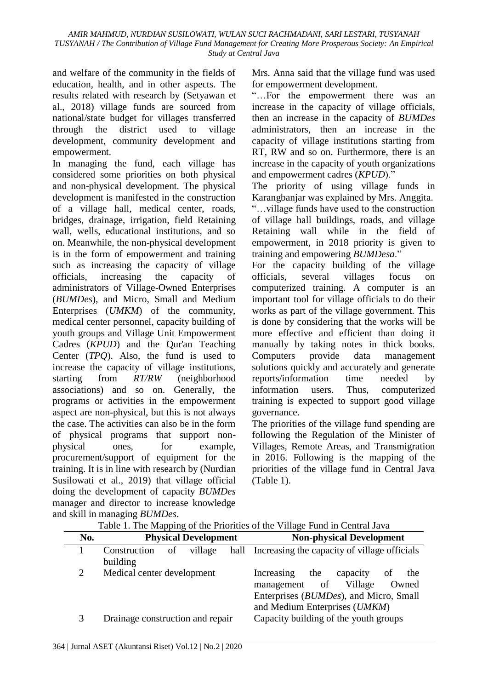and welfare of the community in the fields of education, health, and in other aspects. The results related with research by (Setyawan et al., 2018) village funds are sourced from national/state budget for villages transferred through the district used to village development, community development and empowerment.

In managing the fund, each village has considered some priorities on both physical and non-physical development. The physical development is manifested in the construction of a village hall, medical center, roads, bridges, drainage, irrigation, field Retaining wall, wells, educational institutions, and so on. Meanwhile, the non-physical development is in the form of empowerment and training such as increasing the capacity of village officials, increasing the capacity of administrators of Village-Owned Enterprises (*BUMDes*), and Micro, Small and Medium Enterprises (*UMKM*) of the community, medical center personnel, capacity building of youth groups and Village Unit Empowerment Cadres (*KPUD*) and the Qur'an Teaching Center (*TPQ*). Also, the fund is used to increase the capacity of village institutions, starting from *RT/RW* (neighborhood associations) and so on. Generally, the programs or activities in the empowerment aspect are non-physical, but this is not always the case. The activities can also be in the form of physical programs that support nonphysical ones, for example, procurement/support of equipment for the training. It is in line with research by (Nurdian Susilowati et al., 2019) that village official doing the development of capacity *BUMDes* manager and director to increase knowledge and skill in managing *BUMDes*.

Mrs. Anna said that the village fund was used for empowerment development.

"…For the empowerment there was an increase in the capacity of village officials, then an increase in the capacity of *BUMDes* administrators, then an increase in the capacity of village institutions starting from RT, RW and so on. Furthermore, there is an increase in the capacity of youth organizations and empowerment cadres (*KPUD*)."

The priority of using village funds in Karangbanjar was explained by Mrs. Anggita. "…village funds have used to the construction of village hall buildings, roads, and village Retaining wall while in the field of empowerment, in 2018 priority is given to training and empowering *BUMDesa*."

For the capacity building of the village officials, several villages focus on computerized training. A computer is an important tool for village officials to do their works as part of the village government. This is done by considering that the works will be more effective and efficient than doing it manually by taking notes in thick books. Computers provide data management solutions quickly and accurately and generate reports/information time needed by information users. Thus, computerized training is expected to support good village governance.

The priorities of the village fund spending are following the Regulation of the Minister of Villages, Remote Areas, and Transmigration in 2016. Following is the mapping of the priorities of the village fund in Central Java (Table 1).

|     | . .                                       |                                                                                                                                                            |
|-----|-------------------------------------------|------------------------------------------------------------------------------------------------------------------------------------------------------------|
| No. | <b>Physical Development</b>               | <b>Non-physical Development</b>                                                                                                                            |
|     | Construction<br>village<br>of<br>building | hall Increasing the capacity of village officials                                                                                                          |
| 2   | Medical center development                | the<br>Increasing<br>capacity<br>the<br>of<br>management of<br>Village<br>Owned<br>Enterprises (BUMDes), and Micro, Small<br>and Medium Enterprises (UMKM) |
| 3   | Drainage construction and repair          | Capacity building of the youth groups                                                                                                                      |

Table 1. The Mapping of the Priorities of the Village Fund in Central Java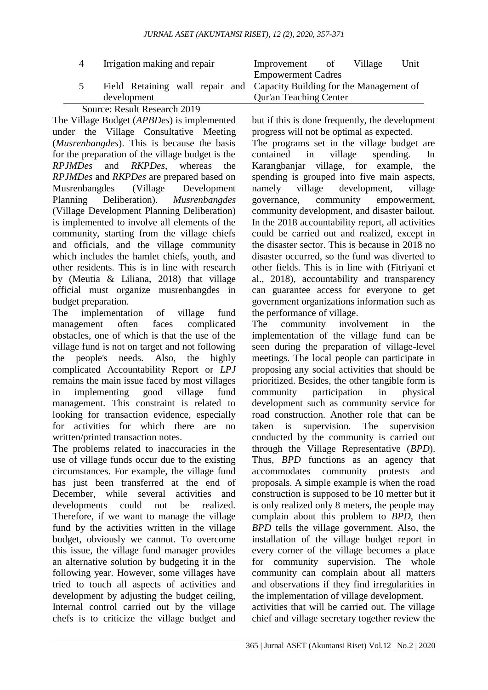| $\overline{4}$ | Irrigation making and repair | Improvement<br>Unit<br>Village<br>- of                                  |
|----------------|------------------------------|-------------------------------------------------------------------------|
|                |                              | <b>Empowerment Cadres</b>                                               |
|                |                              | Field Retaining wall repair and Capacity Building for the Management of |
|                | development                  | <b>Qur'an Teaching Center</b>                                           |
|                |                              |                                                                         |

# Source: Result Research 2019

The Village Budget (*APBDes*) is implemented under the Village Consultative Meeting (*Musrenbangdes*). This is because the basis for the preparation of the village budget is the *RPJMDes* and *RKPDes*, whereas the *RPJMDes* and *RKPDes* are prepared based on Musrenbangdes (Village Development Planning Deliberation). *Musrenbangdes* (Village Development Planning Deliberation) is implemented to involve all elements of the community, starting from the village chiefs and officials, and the village community which includes the hamlet chiefs, youth, and other residents. This is in line with research by (Meutia & Liliana, 2018) that village official must organize musrenbangdes in budget preparation.

The implementation of village fund management often faces complicated obstacles, one of which is that the use of the village fund is not on target and not following the people's needs. Also, the highly complicated Accountability Report or *LPJ* remains the main issue faced by most villages in implementing good village fund management. This constraint is related to looking for transaction evidence, especially for activities for which there are no written/printed transaction notes.

The problems related to inaccuracies in the use of village funds occur due to the existing circumstances. For example, the village fund has just been transferred at the end of December, while several activities and developments could not be realized. Therefore, if we want to manage the village fund by the activities written in the village budget, obviously we cannot. To overcome this issue, the village fund manager provides an alternative solution by budgeting it in the following year. However, some villages have tried to touch all aspects of activities and development by adjusting the budget ceiling, Internal control carried out by the village chefs is to criticize the village budget and

but if this is done frequently, the development progress will not be optimal as expected.

The programs set in the village budget are contained in village spending. In Karangbanjar village, for example, the spending is grouped into five main aspects, namely village development, village governance, community empowerment, community development, and disaster bailout. In the 2018 accountability report, all activities could be carried out and realized, except in the disaster sector. This is because in 2018 no disaster occurred, so the fund was diverted to other fields. This is in line with (Fitriyani et al., 2018), accountability and transparency can guarantee access for everyone to get government organizations information such as the performance of village.

The community involvement in the implementation of the village fund can be seen during the preparation of village-level meetings. The local people can participate in proposing any social activities that should be prioritized. Besides, the other tangible form is community participation in physical development such as community service for road construction. Another role that can be taken is supervision. The supervision conducted by the community is carried out through the Village Representative (*BPD*). Thus, *BPD* functions as an agency that accommodates community protests and proposals. A simple example is when the road construction is supposed to be 10 metter but it is only realized only 8 meters, the people may complain about this problem to *BPD*, then *BPD* tells the village government. Also, the installation of the village budget report in every corner of the village becomes a place for community supervision. The whole community can complain about all matters and observations if they find irregularities in the implementation of village development.

activities that will be carried out. The village chief and village secretary together review the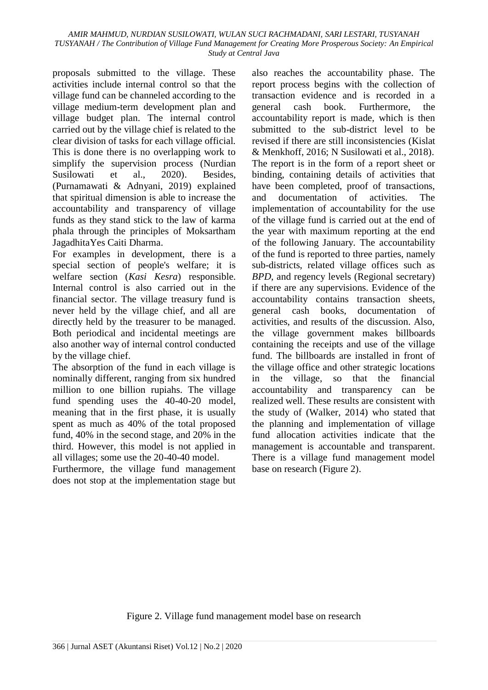proposals submitted to the village. These activities include internal control so that the village fund can be channeled according to the village medium-term development plan and village budget plan. The internal control carried out by the village chief is related to the clear division of tasks for each village official. This is done there is no overlapping work to simplify the supervision process (Nurdian Susilowati et al., 2020). Besides, (Purnamawati & Adnyani, 2019) explained that spiritual dimension is able to increase the accountability and transparency of village funds as they stand stick to the law of karma phala through the principles of Moksartham JagadhitaYes Caiti Dharma.

For examples in development, there is a special section of people's welfare; it is welfare section (*Kasi Kesra*) responsible. Internal control is also carried out in the financial sector. The village treasury fund is never held by the village chief, and all are directly held by the treasurer to be managed. Both periodical and incidental meetings are also another way of internal control conducted by the village chief.

The absorption of the fund in each village is nominally different, ranging from six hundred million to one billion rupiahs. The village fund spending uses the 40-40-20 model, meaning that in the first phase, it is usually spent as much as 40% of the total proposed fund, 40% in the second stage, and 20% in the third. However, this model is not applied in all villages; some use the 20-40-40 model.

Furthermore, the village fund management does not stop at the implementation stage but

also reaches the accountability phase. The report process begins with the collection of transaction evidence and is recorded in a general cash book. Furthermore, the accountability report is made, which is then submitted to the sub-district level to be revised if there are still inconsistencies (Kislat & Menkhoff, 2016; N Susilowati et al., 2018). The report is in the form of a report sheet or binding, containing details of activities that have been completed, proof of transactions, and documentation of activities. The implementation of accountability for the use of the village fund is carried out at the end of the year with maximum reporting at the end of the following January. The accountability of the fund is reported to three parties, namely sub-districts, related village offices such as *BPD*, and regency levels (Regional secretary) if there are any supervisions. Evidence of the accountability contains transaction sheets, general cash books, documentation of activities, and results of the discussion. Also, the village government makes billboards containing the receipts and use of the village fund. The billboards are installed in front of the village office and other strategic locations in the village, so that the financial accountability and transparency can be realized well. These results are consistent with the study of (Walker, 2014) who stated that the planning and implementation of village fund allocation activities indicate that the management is accountable and transparent. There is a village fund management model base on research (Figure 2).

Figure 2. Village fund management model base on research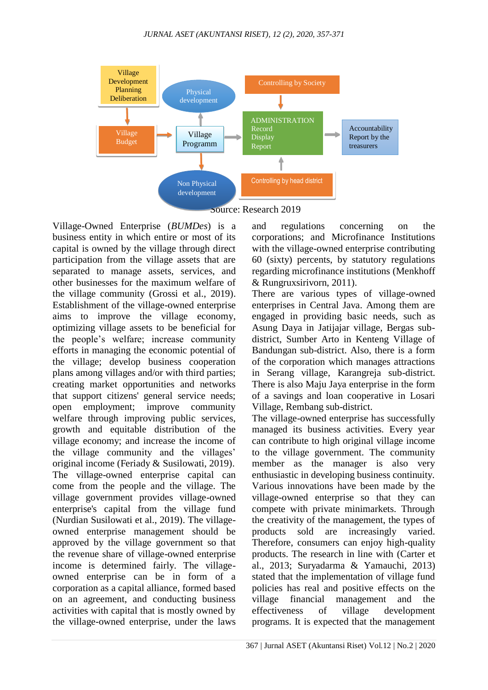

Source: Research 2019

Village-Owned Enterprise (*BUMDes*) is a business entity in which entire or most of its capital is owned by the village through direct participation from the village assets that are separated to manage assets, services, and other businesses for the maximum welfare of the village community (Grossi et al., 2019). Establishment of the village-owned enterprise aims to improve the village economy, optimizing village assets to be beneficial for the people's welfare; increase community efforts in managing the economic potential of the village; develop business cooperation plans among villages and/or with third parties; creating market opportunities and networks that support citizens' general service needs; open employment; improve community welfare through improving public services, growth and equitable distribution of the village economy; and increase the income of the village community and the villages' original income (Feriady & Susilowati, 2019). The village-owned enterprise capital can come from the people and the village. The village government provides village-owned enterprise's capital from the village fund (Nurdian Susilowati et al., 2019). The villageowned enterprise management should be approved by the village government so that the revenue share of village-owned enterprise income is determined fairly. The villageowned enterprise can be in form of a corporation as a capital alliance, formed based on an agreement, and conducting business activities with capital that is mostly owned by the village-owned enterprise, under the laws

and regulations concerning on the corporations; and Microfinance Institutions with the village-owned enterprise contributing 60 (sixty) percents, by statutory regulations regarding microfinance institutions (Menkhoff & Rungruxsirivorn, 2011).

There are various types of village-owned enterprises in Central Java. Among them are engaged in providing basic needs, such as Asung Daya in Jatijajar village, Bergas subdistrict, Sumber Arto in Kenteng Village of Bandungan sub-district. Also, there is a form of the corporation which manages attractions in Serang village, Karangreja sub-district. There is also Maju Jaya enterprise in the form of a savings and loan cooperative in Losari Village, Rembang sub-district.

The village-owned enterprise has successfully managed its business activities. Every year can contribute to high original village income to the village government. The community member as the manager is also very enthusiastic in developing business continuity. Various innovations have been made by the village-owned enterprise so that they can compete with private minimarkets. Through the creativity of the management, the types of products sold are increasingly varied. Therefore, consumers can enjoy high-quality products. The research in line with (Carter et al., 2013; Suryadarma & Yamauchi, 2013) stated that the implementation of village fund policies has real and positive effects on the village financial management and the effectiveness of village development programs. It is expected that the management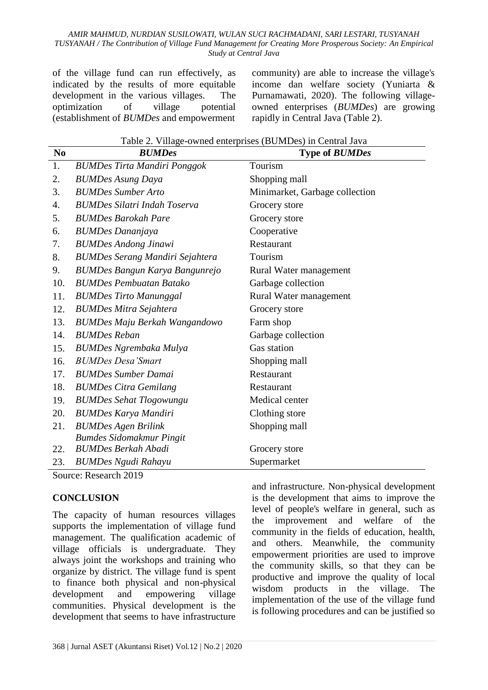#### *AMIR MAHMUD, NURDIAN SUSILOWATI, WULAN SUCI RACHMADANI, SARI LESTARI, TUSYANAH TUSYANAH / The Contribution of Village Fund Management for Creating More Prosperous Society: An Empirical Study at Central Java*

of the village fund can run effectively, as indicated by the results of more equitable development in the various villages. The optimization of village potential (establishment of *BUMDes* and empowerment

community) are able to increase the village's income dan welfare society (Yuniarta & Purnamawati, 2020). The following villageowned enterprises (*BUMDes*) are growing rapidly in Central Java (Table 2).

| N <sub>0</sub> | Table 2. Village-owned enterprises (BUMDes) in Central Java<br><b>BUMDes</b> | <b>Type of BUMDes</b>          |
|----------------|------------------------------------------------------------------------------|--------------------------------|
| 1.             | <b>BUMDes Tirta Mandiri Ponggok</b>                                          | Tourism                        |
| 2.             | <b>BUMDes Asung Daya</b>                                                     | Shopping mall                  |
| 3.             | <b>BUMDes Sumber Arto</b>                                                    | Minimarket, Garbage collection |
| 4.             | <b>BUMDes Silatri Indah Toserva</b>                                          | Grocery store                  |
| 5.             | <b>BUMDes Barokah Pare</b>                                                   | Grocery store                  |
| 6.             | <b>BUMDes Dananjaya</b>                                                      | Cooperative                    |
| 7.             | <b>BUMDes Andong Jinawi</b>                                                  | Restaurant                     |
| 8.             | <b>BUMDes Serang Mandiri Sejahtera</b>                                       | Tourism                        |
| 9.             | <b>BUMDes Bangun Karya Bangunrejo</b>                                        | Rural Water management         |
| 10.            | <b>BUMDes Pembuatan Batako</b>                                               | Garbage collection             |
| 11.            | <b>BUMDes Tirto Manunggal</b>                                                | Rural Water management         |
| 12.            | <b>BUMDes Mitra Sejahtera</b>                                                | Grocery store                  |
| 13.            | <b>BUMDes Maju Berkah Wangandowo</b>                                         | Farm shop                      |
| 14.            | <b>BUMDes Reban</b>                                                          | Garbage collection             |
| 15.            | <b>BUMDes Ngrembaka Mulya</b>                                                | Gas station                    |
| 16.            | <b>BUMDes Desa'Smart</b>                                                     | Shopping mall                  |
| 17.            | <b>BUMDes Sumber Damai</b>                                                   | Restaurant                     |
| 18.            | <b>BUMDes Citra Gemilang</b>                                                 | Restaurant                     |
| 19.            | <b>BUMDes Sehat Tlogowungu</b>                                               | Medical center                 |
| 20.            | <b>BUMDes Karya Mandiri</b>                                                  | Clothing store                 |
| 21.            | <b>BUMDes Agen Brilink</b>                                                   | Shopping mall                  |
|                | <b>Bumdes Sidomakmur Pingit</b>                                              |                                |
| 22.            | <b>BUMDes Berkah Abadi</b>                                                   | Grocery store                  |
| 23.            | <b>BUMDes Ngudi Rahayu</b>                                                   | Supermarket                    |

Table 2. Village-owned enterprises (BUMDes) in Central Java

Source: Research 2019

#### **CONCLUSION**

The capacity of human resources villages supports the implementation of village fund management. The qualification academic of village officials is undergraduate. They always joint the workshops and training who organize by district. The village fund is spent to finance both physical and non-physical development and empowering village communities. Physical development is the development that seems to have infrastructure

and infrastructure. Non-physical development is the development that aims to improve the level of people's welfare in general, such as the improvement and welfare of the community in the fields of education, health, and others. Meanwhile, the community empowerment priorities are used to improve the community skills, so that they can be productive and improve the quality of local wisdom products in the village. The implementation of the use of the village fund is following procedures and can be justified so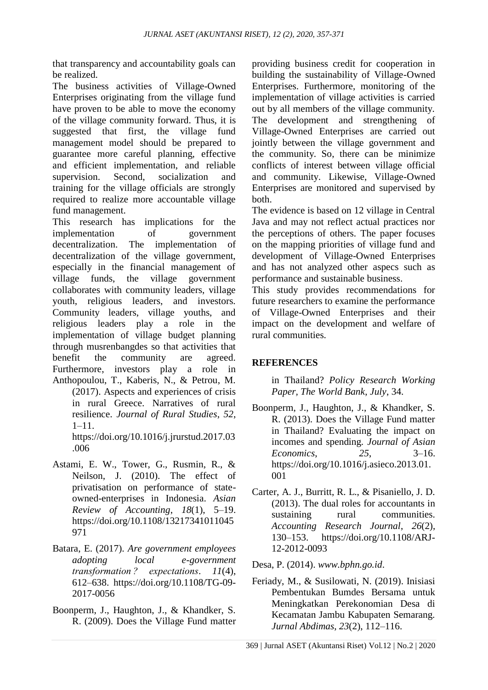that transparency and accountability goals can be realized.

The business activities of Village-Owned Enterprises originating from the village fund have proven to be able to move the economy of the village community forward. Thus, it is suggested that first, the village fund management model should be prepared to guarantee more careful planning, effective and efficient implementation, and reliable supervision. Second, socialization and training for the village officials are strongly required to realize more accountable village fund management.

This research has implications for the implementation of government decentralization. The implementation of decentralization of the village government, especially in the financial management of village funds, the village government collaborates with community leaders, village youth, religious leaders, and investors. Community leaders, village youths, and religious leaders play a role in the implementation of village budget planning through musrenbangdes so that activities that benefit the community are agreed. Furthermore, investors play a role in Anthopoulou, T., Kaberis, N., & Petrou, M.

(2017). Aspects and experiences of crisis in rural Greece. Narratives of rural resilience. *Journal of Rural Studies*, *52*, 1–11. https://doi.org/10.1016/j.jrurstud.2017.03 .006

- Astami, E. W., Tower, G., Rusmin, R., & Neilson, J. (2010). The effect of privatisation on performance of stateowned-enterprises in Indonesia. *Asian Review of Accounting*, *18*(1), 5–19. https://doi.org/10.1108/13217341011045 971
- Batara, E. (2017). *Are government employees adopting local e-government transformation ? expectations*. *11*(4), 612–638. https://doi.org/10.1108/TG-09- 2017-0056
- Boonperm, J., Haughton, J., & Khandker, S. R. (2009). Does the Village Fund matter

providing business credit for cooperation in building the sustainability of Village-Owned Enterprises. Furthermore, monitoring of the implementation of village activities is carried out by all members of the village community. The development and strengthening of Village-Owned Enterprises are carried out jointly between the village government and the community. So, there can be minimize conflicts of interest between village official and community. Likewise, Village-Owned Enterprises are monitored and supervised by both.

The evidence is based on 12 village in Central Java and may not reflect actual practices nor the perceptions of others. The paper focuses on the mapping priorities of village fund and development of Village-Owned Enterprises and has not analyzed other aspecs such as performance and sustainable business.

This study provides recommendations for future researchers to examine the performance of Village-Owned Enterprises and their impact on the development and welfare of rural communities.

# **REFERENCES**

in Thailand? *Policy Research Working Paper, The World Bank*, *July*, 34.

- Boonperm, J., Haughton, J., & Khandker, S. R. (2013). Does the Village Fund matter in Thailand? Evaluating the impact on incomes and spending. *Journal of Asian Economics*, *25*, 3–16. https://doi.org/10.1016/j.asieco.2013.01. 001
- Carter, A. J., Burritt, R. L., & Pisaniello, J. D. (2013). The dual roles for accountants in sustaining rural communities. *Accounting Research Journal*, *26*(2), 130–153. https://doi.org/10.1108/ARJ-12-2012-0093

Desa, P. (2014). *www.bphn.go.id*.

Feriady, M., & Susilowati, N. (2019). Inisiasi Pembentukan Bumdes Bersama untuk Meningkatkan Perekonomian Desa di Kecamatan Jambu Kabupaten Semarang. *Jurnal Abdimas*, *23*(2), 112–116.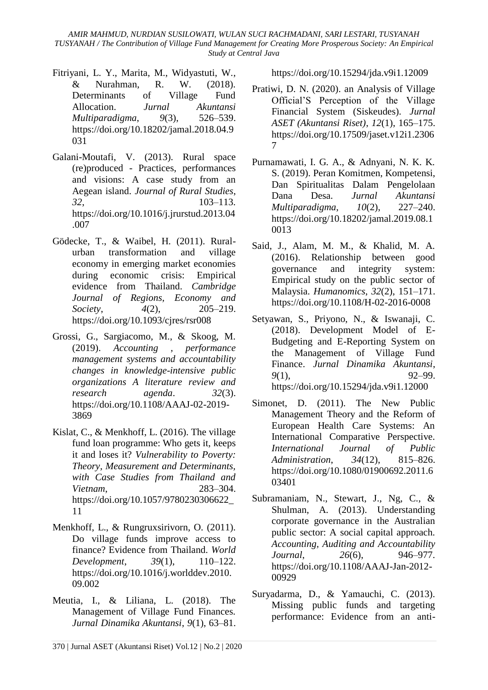*AMIR MAHMUD, NURDIAN SUSILOWATI, WULAN SUCI RACHMADANI, SARI LESTARI, TUSYANAH TUSYANAH / The Contribution of Village Fund Management for Creating More Prosperous Society: An Empirical Study at Central Java*

- Fitriyani, L. Y., Marita, M., Widyastuti, W., & Nurahman, R. W. (2018). Determinants of Village Fund Allocation. *Jurnal Akuntansi Multiparadigma*, *9*(3), 526–539. https://doi.org/10.18202/jamal.2018.04.9 031
- Galani-Moutafi, V. (2013). Rural space (re)produced - Practices, performances and visions: A case study from an Aegean island. *Journal of Rural Studies*, *32*, 103–113. https://doi.org/10.1016/j.jrurstud.2013.04 .007
- Gödecke, T., & Waibel, H. (2011). Ruralurban transformation and village economy in emerging market economies during economic crisis: Empirical evidence from Thailand. *Cambridge Journal of Regions, Economy and Society*, *4*(2), 205–219. https://doi.org/10.1093/cjres/rsr008
- Grossi, G., Sargiacomo, M., & Skoog, M. (2019). *Accounting , performance management systems and accountability changes in knowledge-intensive public organizations A literature review and research agenda*. *32*(3). https://doi.org/10.1108/AAAJ-02-2019- 3869
- Kislat, C., & Menkhoff, L. (2016). The village fund loan programme: Who gets it, keeps it and loses it? *Vulnerability to Poverty: Theory, Measurement and Determinants, with Case Studies from Thailand and Vietnam*, 283–304. https://doi.org/10.1057/9780230306622\_ 11
- Menkhoff, L., & Rungruxsirivorn, O. (2011). Do village funds improve access to finance? Evidence from Thailand. *World Development*, *39*(1), 110–122. https://doi.org/10.1016/j.worlddev.2010. 09.002
- Meutia, I., & Liliana, L. (2018). The Management of Village Fund Finances. *Jurnal Dinamika Akuntansi*, *9*(1), 63–81.

- Simonet, D. (2011). The New Public Management Theory and the Reform of European Health Care Systems: An International Comparative Perspective. *International Journal of Public Administration*, *34*(12), 815–826. https://doi.org/10.1080/01900692.2011.6 03401
- Subramaniam, N., Stewart, J., Ng, C., & Shulman, A. (2013). Understanding corporate governance in the Australian public sector: A social capital approach. *Accounting, Auditing and Accountability Journal*, *26*(6), 946–977. https://doi.org/10.1108/AAAJ-Jan-2012- 00929
- Suryadarma, D., & Yamauchi, C. (2013). Missing public funds and targeting performance: Evidence from an anti-

https://doi.org/10.15294/jda.v9i1.12009

- Pratiwi, D. N. (2020). an Analysis of Village Official'S Perception of the Village Financial System (Siskeudes). *Jurnal ASET (Akuntansi Riset)*, *12*(1), 165–175. https://doi.org/10.17509/jaset.v12i1.2306 7
- Purnamawati, I. G. A., & Adnyani, N. K. K. S. (2019). Peran Komitmen, Kompetensi, Dan Spiritualitas Dalam Pengelolaan Dana Desa. *Jurnal Akuntansi Multiparadigma*, *10*(2), 227–240. https://doi.org/10.18202/jamal.2019.08.1 0013
- Said, J., Alam, M. M., & Khalid, M. A. (2016). Relationship between good governance and integrity system: Empirical study on the public sector of Malaysia. *Humanomics*, *32*(2), 151–171. https://doi.org/10.1108/H-02-2016-0008
- Setyawan, S., Priyono, N., & Iswanaji, C. (2018). Development Model of E-Budgeting and E-Reporting System on the Management of Village Fund Finance. *Jurnal Dinamika Akuntansi*, *9*(1), 92–99. https://doi.org/10.15294/jda.v9i1.12000